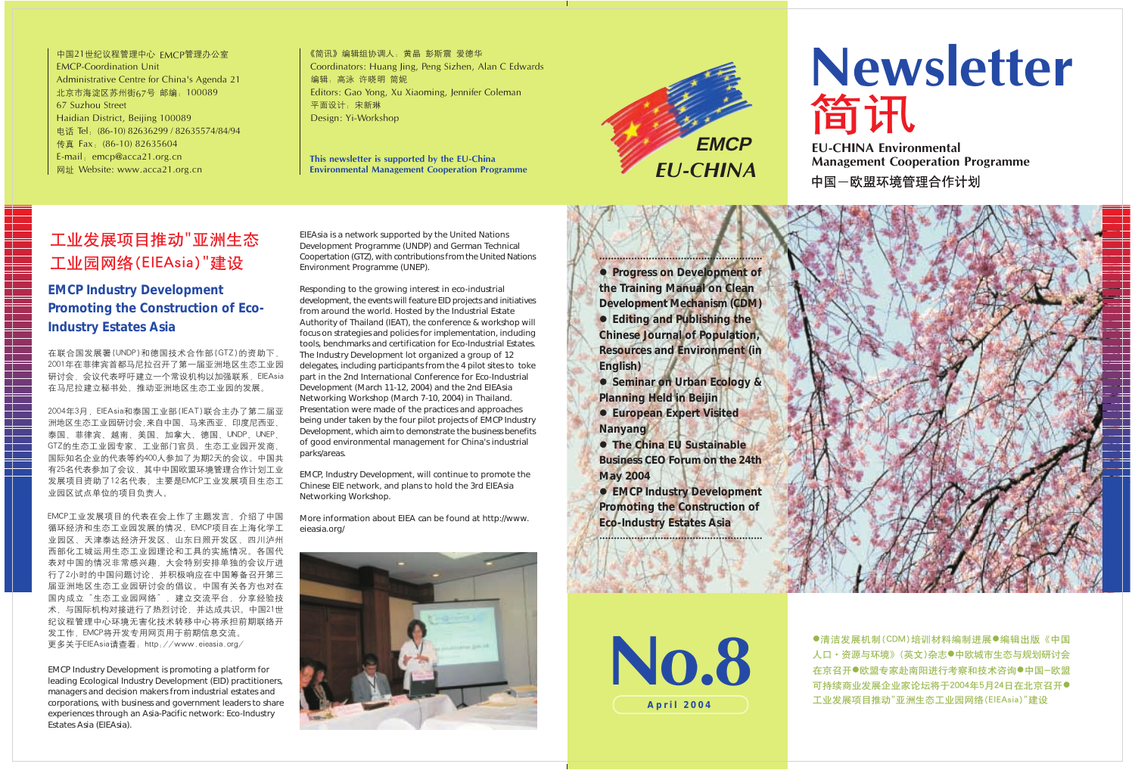中国21世纪议程管理中心 EMCP管理办公室 **EMCP-Coordination Unit** Administrative Centre for China's Agenda 21 北京市海淀区苏州街67号 邮编: 100089 67 Suzhou Street Haidian District, Beiling 100089 电话 Tel. (86-10) 82636299 / 82635574/84/94 传真 Fax. (86-10) 82635604 E-mail: emcp@acca21.org.cn 网址 Website: www.acca21.org.cn

《简讯》编辑组协调人: 黄晶 彭斯震 爱德华 Coordinators: Huang Jing, Peng Sizhen, Alan C Edwards 编辑: 高泳 许晓明 简妮 Editors: Gao Yong, Xu Xiaoming, Jennifer Coleman 平面设计: 宋新琳 Design: Yi-Workshop

This newsletter is supported by the EU-China **Environmental Management Cooperation Programme** 

# 工业发展项目推动"亚洲生态 工业园网络(ElEAsia)"建设

No.8 **April 2004**

# Newsletter

**Management Cooperation Programme** 中国一欧盟环境管理合作计划



●清洁发展机制(CDM)培训材料编制进展●编辑出版《中国 人口·资源与环境》(英文)杂志 中欧城市生态与规划研讨会 在京召开●欧盟专家赴南阳进行考察和技术咨询●中国-欧盟 可持续商业发展企业家论坛将于2004年5月24日在北京召开● 工业发展项目推动"亚洲生态工业园网络(ElEAsia)"建设







### **EMCP Industry Development Promoting the Construction of Eco-Industry Estates Asia**

在联合国发展署(UNDP)和德国技术合作部(GTZ)的资助下, 2001年在菲律宾首都马尼拉召开了第一届亚洲地区生态工业园 研讨会, 会议代表呼吁建立一个常设机构以加强联系, ElEAsia 在马尼拉建立秘书处,推动亚洲地区生态工业园的发展。

2004年3月, ElEAsia和泰国工业部(IEAT)联合主办了第二届亚 洲地区生态工业园研讨会,来自中国、马来西亚、印度尼西亚、 泰国、菲律宾、越南、美国、加拿大、德国、UNDP、UNEP、 GTZ的生态工业园专家、工业部门官员、生态工业园开发商、 国际知名企业的代表等约400人参加了为期2天的会议。中国共 有25名代表参加了会议,其中中国欧盟环境管理合作计划工业 发展项目资助了12名代表,主要是EMCP工业发展项目生态工 业园区试点单位的项目负责人。

EMCP工业发展项目的代表在会上作了主题发言,介绍了中国 循环经济和生态工业园发展的情况, EMCP项目在上海化学工 业园区、天津泰达经济开发区、山东日照开发区、四川泸州 西部化工城运用生态工业园理论和工具的实施情况。各国代 表对中国的情况非常感兴趣,大会特别安排单独的会议厅进 行了2小时的中国问题讨论,并积极响应在中国筹备召开第三 届亚洲地区生态工业园研讨会的倡议。中国有关各方也对在 国内成立"生态工业园网络",建立交流平台,分享经验技 术,与国际机构对接进行了热烈讨论,并达成共识。中国21世 纪议程管理中心环境无害化技术转移中心将承担前期联络开 发工作, EMCP将开发专用网页用于前期信息交流。

+ *Progress on Development of the Training Manual on Clean Development Mechanism (CDM)* + *Editing and Publishing the Chinese Journal of Population, Resources and Environment (in English)*

- + *Seminar on Urban Ecology & Planning Held in Beijin*
- + *European Expert Visited Nanyang*
- + *The China EU Sustainable Business CEO Forum on the 24th May 2004*
- + *EMCP Industry Development Promoting the Construction of Eco-Industry Estates Asia*

EMCP Industry Development is promoting a platform for leading Ecological Industry Development (EID) practitioners, managers and decision makers from industrial estates and corporations, with business and government leaders to share experiences through an Asia-Pacific network: Eco-Industry Estates Asia (EIEAsia).

EIEAsia is a network supported by the United Nations Development Programme (UNDP) and German Technical Coopertation (GTZ), with contributions from the United Nations Environment Programme (UNEP).

Responding to the growing interest in eco-industrial development, the events will feature EID projects and initiatives from around the world. Hosted by the Industrial Estate Authority of Thailand (IEAT), the conference & workshop will focus on strategies and policies for implementation, including tools, benchmarks and certification for Eco-Industrial Estates. The Industry Development lot organized a group of 12 delegates, including participants from the 4 pilot sites to toke part in the 2nd International Conference for Eco-Industrial Development (March 11-12, 2004) and the 2nd EIEAsia Networking Workshop (March 7-10, 2004) in Thailand. Presentation were made of the practices and approaches being under taken by the four pilot projects of EMCP Industry Development, which aim to demonstrate the business benefits of good environmental management for China's industrial parks/areas.

EMCP, Industry Development, will continue to promote the Chinese EIE network, and plans to hold the 3rd EIEAsia Networking Workshop.

More information about EIEA can be found at http://www. eieasia.org/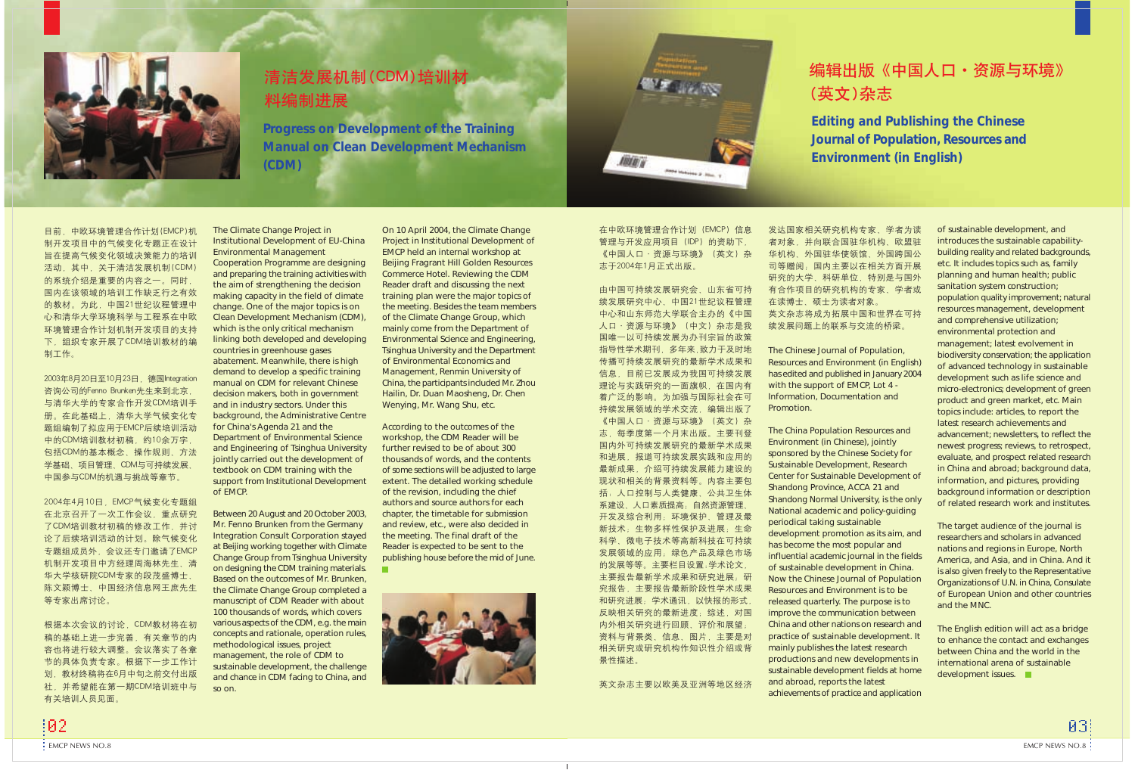

# 清洁发展机制(CDM)培训材 料编制进展

The Climate Change Project in Institutional Development of EU-China Environmental Management

Cooperation Programme are designing and preparing the training activities with the aim of strengthening the decision making capacity in the field of climate change. One of the major topics is on Clean Development Mechanism (CDM), which is the only critical mechanism linking both developed and developing countries in greenhouse gases abatement. Meanwhile, there is high demand to develop a specific training manual on CDM for relevant Chinese decision makers, both in government and in industry sectors. Under this background, the Administrative Centre for China's Agenda 21 and the Department of Environmental Science and Engineering of Tsinghua University jointly carried out the development of textbook on CDM training with the support from Institutional Development of EMCP.

The Chinese Journal of Population, Resources and Environment (in English) has edited and published in January 2004 with the support of EMCP, Lot 4 - Information, Documentation and 研究的大学、科研单位、特别是与国外 有合作项目的研究机构的专家、学者或 在读博士、硕士为读者对象 英文杂志将成为拓展中国和世界在可持 续发展问题上的联系与交流的桥梁。

Between 20 August and 20 October 2003, Mr. Fenno Brunken from the Germany Integration Consult Corporation stayed at Beijing working together with Climate Change Group from Tsinghua University on designing the CDM training materials. Based on the outcomes of Mr. Brunken, the Climate Change Group completed a manuscript of CDM Reader with about 100 thousands of words, which covers various aspects of the CDM, e.g. the main concepts and rationale, operation rules, methodological issues, project management, the role of CDM to sustainable development, the challenge and chance in CDM facing to China, and so on.

The English edition will act as a bridge to enhance the contact and exchanges between China and the world in the international arena of sustainable development issues.

Promotion.

The China Population Resources and Environment (in Chinese), jointly sponsored by the Chinese Society for Sustainable Development, Research Center for Sustainable Development of Shandong Province, ACCA 21 and Shandong Normal University, is the only National academic and policy-guiding periodical taking sustainable development promotion as its aim, and has become the most popular and influential academic journal in the fields of sustainable development in China. Now the Chinese Journal of Population Resources and Environment is to be released quarterly. The purpose is to improve the communication between China and other nations on research and practice of sustainable development. It mainly publishes the latest research productions and new developments in sustainable development fields at home and abroad, reports the latest achievements of practice and application

# 编辑出版《中国人口·资源与环境》

of sustainable development, and introduces the sustainable capabilitybuilding reality and related backgrounds, etc. It includes topics such as, family planning and human health; public sanitation system construction; population quality improvement; natural resources management, development and comprehensive utilization; environmental protection and management; latest evolvement in biodiversity conservation; the application of advanced technology in sustainable development such as life science and micro-electronics; development of green product and green market, etc. Main topics include: articles, to report the latest research achievements and advancement; newsletters, to reflect the newest progress; reviews, to retrospect, evaluate, and prospect related research in China and abroad; background data, information, and pictures, providing background information or description of related research work and institutes.

The target audience of the journal is researchers and scholars in advanced nations and regions in Europe, North America, and Asia, and in China. And it is also given freely to the Representative Organizations of U.N. in China, Consulate of European Union and other countries and the MNC.

On 10 April 2004, the Climate Change Project in Institutional Development of EMCP held an internal workshop at Beijing Fragrant Hill Golden Resources Commerce Hotel. Reviewing the CDM Reader draft and discussing the next training plan were the major topics of the meeting. Besides the team members of the Climate Change Group, which mainly come from the Department of Environmental Science and Engineering, Tsinghua University and the Department of Environmental Economics and Management, Renmin University of China, the participants included Mr. Zhou Hailin, Dr. Duan Maosheng, Dr. Chen Wenying, Mr. Wang Shu, etc.

According to the outcomes of the workshop, the CDM Reader will be further revised to be of about 300 thousands of words, and the contents of some sections will be adjusted to large extent. The detailed working schedule of the revision, including the chief authors and source authors for each chapter, the timetable for submission and review, etc., were also decided in the meeting. The final draft of the Reader is expected to be sent to the publishing house before the mid of June.

m.



在中欧环境管理合作计划 (EMCP) 信息 管理与开发应用项目(IDP)的资助下, 《中国人口·资源与环境》(英文)杂 志于2004年1月正式出版。

**Photo Interests Jr. Joseph T** 

**IBIB**y

由中国可持续发展研究会、山东省可持 续发展研究中心、中国21世纪议程管理 中心和山东师范大学联合主办的《中国 人口·资源与环境》 (中文) 杂志是我 国唯一以可持续发展为办刊宗旨的政策 指导性学术期刊, 多年来,致力于及时地 传播可持续发展研究的最新学术成果和 信息, 目前已发展成为我国可持续发展 理论与实践研究的一面旗帜,在国内有 着广泛的影响。为加强与国际社会在可 持续发展领域的学术交流,编辑出版了 《中国人口·资源与环境》(英文)杂 志,每季度第一个月末出版。主要刊登 国内外可持续发展研究的最新学术成果 和进展,报道可持续发展实践和应用的 最新成果, 介绍可持续发展能力建设的 现状和相关的背景资料等。内容主要包 括: 人口控制与人类健康、公共卫生体 系建设、人口素质提高; 自然资源管理、 开发及综合利用; 环境保护、管理及最 新技术;生物多样性保护及进展;生命 科学、微电子技术等高新科技在可持续 发展领域的应用; 绿色产品及绿色市场 的发展等等。主要栏目设置:学术论文, 主要报告最新学术成果和研究进展;研 究报告, 主要报告最新阶段性学术成果 和研究进展; 学术通讯, 以快报的形式, 反映相关研究的最新进度; 综述, 对国 内外相关研究进行回顾、评价和展望; 资料与背景类、信息、图片,主要是对 相关研究或研究机构作知识性介绍或背 景性描述。

英文杂志主要以欧美及亚洲等地区经济

# (英文)杂志

**Editing and Publishing the Chinese Journal of Population, Resources and Environment (in English)**

发达国家相关研究机构专家、学者为读 者对象,并向联合国驻华机构、欧盟驻 华机构、外国驻华使领馆、外国跨国公 司等赠阅;国内主要以在相关方面开展

**Progress on Development of the Training Manual on Clean Development Mechanism (CDM)**

目前, 中欧环境管理合作计划(EMCP)机 制开发项目中的气候变化专题正在设计 旨在提高气候变化领域决策能力的培训 活动, 其中, 关于清洁发展机制(CDM) 的系统介绍是重要的内容之一。同时, 国内在该领域的培训工作缺乏行之有效 的教材。为此,中国21世纪议程管理中 心和清华大学环境科学与工程系在中欧 环境管理合作计划机制开发项目的支持 下,组织专家开展了CDM培训教材的编 制工作。

2003年8月20日至10月23日, 德国Integration 咨询公司的Fenno Brunken先生来到北京, 与清华大学的专家合作开发CDM培训手 册。在此基础上,清华大学气候变化专 题组编制了拟应用于EMCP后续培训活动 中的CDM培训教材初稿,约10余万字, 包括CDM的基本概念、操作规则、方法 学基础、项目管理、CDM与可持续发展、 中国参与CDM的机遇与挑战等章节。

2004年4月10日, EMCP气候变化专题组 在北京召开了一次工作会议, 重点研究 了CDM培训教材初稿的修改工作, 并讨 论了后续培训活动的计划。除气候变化 专题组成员外,会议还专门邀请了EMCP 机制开发项目中方经理周海林先生、清 华大学核研院CDM专家的段茂盛博士、 陈文颖博士、中国经济信息网王庶先生 等专家出席讨论。

根据本次会议的讨论, CDM教材将在初 稿的基础上进一步完善, 有关章节的内 容也将进行较大调整。会议落实了各章 节的具体负责专家。根据下一步工作计 划, 教材终稿将在6月中旬之前交付出版 社, 并希望能在第一期CDM培训班中与 有关培训人员见面。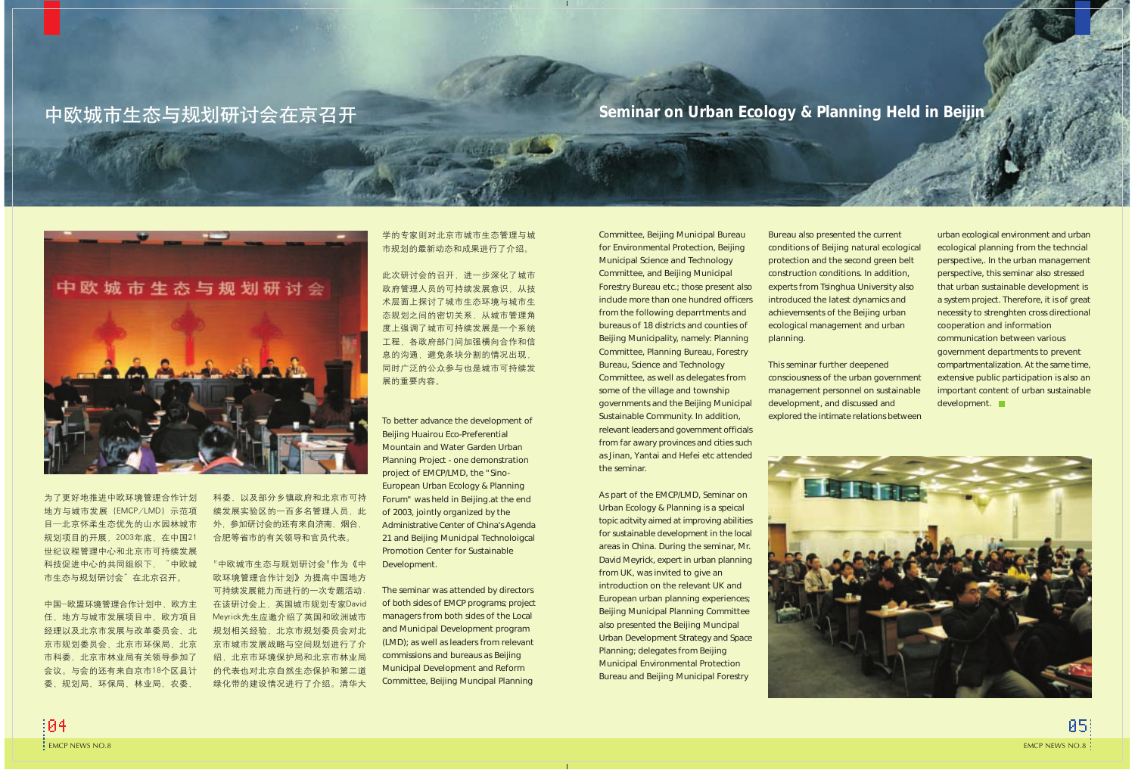To better advance the development of Beijing Huairou Eco-Preferential Mountain and Water Garden Urban Planning Project - one demonstration project of EMCP/LMD, the "Sino-European Urban Ecology & Planning Forum" was held in Beijing.at the end of 2003, jointly organized by the Administrative Center of China's Agenda 21 and Beijing Municipal Technoloigcal Promotion Center for Sustainable Development.

The seminar was attended by directors of both sides of EMCP programs; project managers from both sides of the Local and Municipal Development program (LMD); as well as leaders from relevant commissions and bureaus as Beijing Municipal Development and Reform Committee, Beijing Muncipal Planning

Committee, Beijing Municipal Bureau for Environmental Protection, Beijing Municipal Science and Technology Committee, and Beijing Municipal Forestry Bureau etc.; those present also include more than one hundred officers from the following deparrtments and bureaus of 18 districts and counties of Beijing Municipality, namely: Planning Committee, Planning Bureau, Forestry Bureau, Science and Technology Committee, as well as delegates from some of the village and township governments and the Beijing Municipal Sustainable Community. In addition, relevant leaders and government officials from far awary provinces and cities such as Jinan, Yantai and Hefei etc attended the seminar.

urban ecological environment and urban ecological planning from the techncial perspective,. In the urban management perspective, this seminar also stressed that urban sustainable development is a system project. Therefore, it is of great necessity to strenghten cross directional cooperation and information communication between various government departments to prevent compartmentalization. At the same time, extensive public participation is also an important content of urban sustainable development.  $\blacksquare$ 

As part of the EMCP/LMD, Seminar on Urban Ecology & Planning is a speical topic acitvity aimed at improving abilities for sustainable development in the local areas in China. During the seminar, Mr. David Meyrick, expert in urban planning from UK, was invited to give an introduction on the relevant UK and European urban planning experiences; Beijing Municipal Planning Committee also presented the Beijing Muncipal Urban Development Strategy and Space Planning; delegates from Beijing Municipal Environmental Protection Bureau and Beijing Municipal Forestry

# -345,6789:0;1< **Seminar on Urban Ecology & Planning Held in Beijin**



为了更好地推讲中欧环境管理合作计划 地方与城市发展 (EMCP/LMD) 示范项 目一北京怀柔生态优先的山水园林城市 规划项目的开展, 2003年底, 在中国21 世纪议程管理中心和北京市可持续发展 科技促进中心的共同组织下, "中欧城 市生态与规划研讨会"在北京召开。

中国-欧盟环境管理合作计划中、欧方主 任、地方与城市发展项目中、欧方项目 经理以及北京市发展与改革委员会、北 京市规划委员会、北京市环保局、北京 市科委、北京市林业局有关领导参加了 会议。与会的还有来自京市18个区县计 委、规划局、环保局、林业局、农委、

科委、以及部分乡镇政府和北京市可持 续发展实验区的一百多名管理人员, 此 外, 参加研讨会的还有来自济南、烟台、 合肥等省市的有关领导和官员代表。

"中欧城市生态与规划研讨会"作为《中 欧环境管理合作计划》为提高中国地方 可持续发展能力而进行的一次专题活动. 在该研讨会上,英国城市规划专家David Meyrick先生应邀介绍了英国和欧洲城市 规划相关经验, 北京市规划委员会对北 京市城市发展战略与空间规划进行了介 绍, 北京市环境保护局和北京市林业局 的代表也对北京自然生态保护和第二道 绿化带的建设情况进行了介绍。清华大

学的专家则对北京市城市生态管理与城 市规划的最新动态和成果进行了介绍。

此次研讨会的召开,进一步深化了城市 政府管理人员的可持续发展意识, 从技 术层面上探讨了城市生态环境与城市生 态规划之间的密切关系, 从城市管理角 度上强调了城市可持续发展是一个系统 工程, 各政府部门间加强横向合作和信 息的沟通,避免条块分割的情况出现, 同时广泛的公众参与也是城市可持续发 展的重要内容。

Bureau also presented the current conditions of Beijing natural ecological protection and the second green belt construction conditions. In addition, experts from Tsinghua University also introduced the latest dynamics and achievemsents of the Beijing urban ecological management and urban planning.

This seminar further deepened consciousness of the urban government management personnel on sustainable development, and discussed and explored the intimate relations between